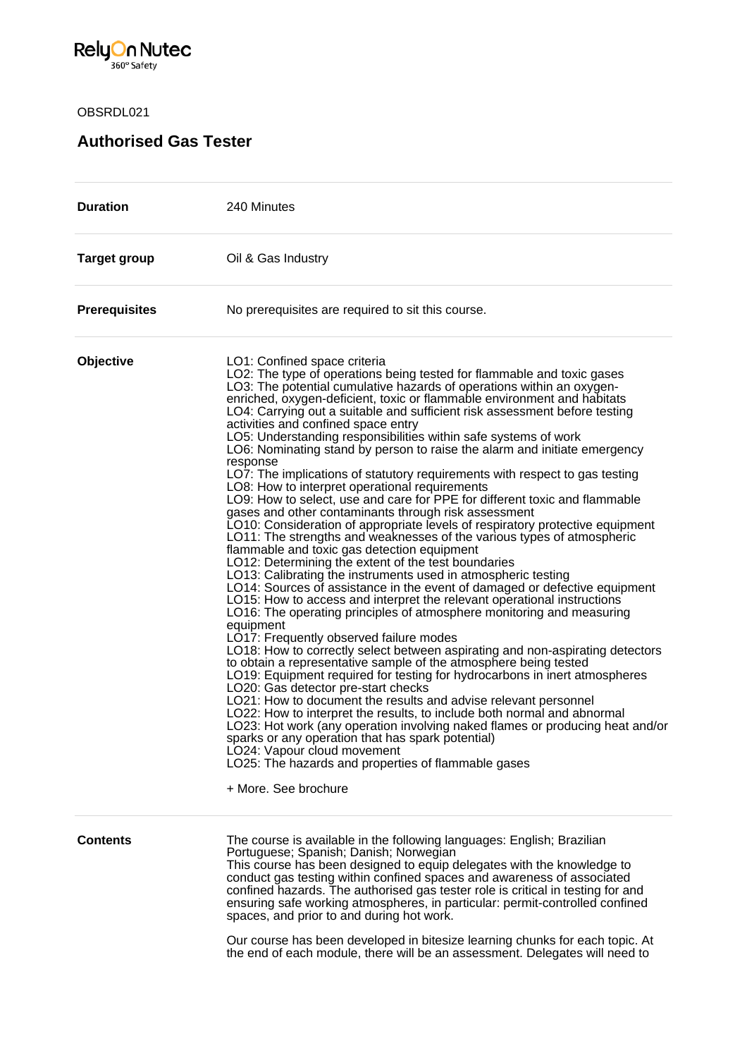

OBSRDL021

## **Authorised Gas Tester**

| <b>Duration</b>      | 240 Minutes                                                                                                                                                                                                                                                                                                                                                                                                                                                                                                                                                                                                                                                                                                                                                                                                                                                                                                                                                                                                                                                                                                                                                                                                                                                                                                                                                                                                                                                                                                                                                                                                                                                                                                                                                                                                                                                                                                                                                                                                                                                                                                                |
|----------------------|----------------------------------------------------------------------------------------------------------------------------------------------------------------------------------------------------------------------------------------------------------------------------------------------------------------------------------------------------------------------------------------------------------------------------------------------------------------------------------------------------------------------------------------------------------------------------------------------------------------------------------------------------------------------------------------------------------------------------------------------------------------------------------------------------------------------------------------------------------------------------------------------------------------------------------------------------------------------------------------------------------------------------------------------------------------------------------------------------------------------------------------------------------------------------------------------------------------------------------------------------------------------------------------------------------------------------------------------------------------------------------------------------------------------------------------------------------------------------------------------------------------------------------------------------------------------------------------------------------------------------------------------------------------------------------------------------------------------------------------------------------------------------------------------------------------------------------------------------------------------------------------------------------------------------------------------------------------------------------------------------------------------------------------------------------------------------------------------------------------------------|
| <b>Target group</b>  | Oil & Gas Industry                                                                                                                                                                                                                                                                                                                                                                                                                                                                                                                                                                                                                                                                                                                                                                                                                                                                                                                                                                                                                                                                                                                                                                                                                                                                                                                                                                                                                                                                                                                                                                                                                                                                                                                                                                                                                                                                                                                                                                                                                                                                                                         |
| <b>Prerequisites</b> | No prerequisites are required to sit this course.                                                                                                                                                                                                                                                                                                                                                                                                                                                                                                                                                                                                                                                                                                                                                                                                                                                                                                                                                                                                                                                                                                                                                                                                                                                                                                                                                                                                                                                                                                                                                                                                                                                                                                                                                                                                                                                                                                                                                                                                                                                                          |
| Objective            | LO1: Confined space criteria<br>LO2: The type of operations being tested for flammable and toxic gases<br>LO3: The potential cumulative hazards of operations within an oxygen-<br>enriched, oxygen-deficient, toxic or flammable environment and habitats<br>LO4: Carrying out a suitable and sufficient risk assessment before testing<br>activities and confined space entry<br>LO5: Understanding responsibilities within safe systems of work<br>LO6: Nominating stand by person to raise the alarm and initiate emergency<br>response<br>LO7: The implications of statutory requirements with respect to gas testing<br>LO8: How to interpret operational requirements<br>LO9: How to select, use and care for PPE for different toxic and flammable<br>gases and other contaminants through risk assessment<br>LO10: Consideration of appropriate levels of respiratory protective equipment<br>LO11: The strengths and weaknesses of the various types of atmospheric<br>flammable and toxic gas detection equipment<br>LO12: Determining the extent of the test boundaries<br>LO13: Calibrating the instruments used in atmospheric testing<br>LO14: Sources of assistance in the event of damaged or defective equipment<br>LO15: How to access and interpret the relevant operational instructions<br>LO16: The operating principles of atmosphere monitoring and measuring<br>equipment<br>LO17: Frequently observed failure modes<br>LO18: How to correctly select between aspirating and non-aspirating detectors<br>to obtain a representative sample of the atmosphere being tested<br>LO19: Equipment required for testing for hydrocarbons in inert atmospheres<br>LO20: Gas detector pre-start checks<br>LO21: How to document the results and advise relevant personnel<br>LO22: How to interpret the results, to include both normal and abnormal<br>LO23: Hot work (any operation involving naked flames or producing heat and/or<br>sparks or any operation that has spark potential)<br>LO24: Vapour cloud movement<br>LO25: The hazards and properties of flammable gases<br>+ More. See brochure |
| <b>Contents</b>      | The course is available in the following languages: English; Brazilian<br>Portuguese; Spanish; Danish; Norwegian<br>This course has been designed to equip delegates with the knowledge to<br>conduct gas testing within confined spaces and awareness of associated<br>confined hazards. The authorised gas tester role is critical in testing for and<br>ensuring safe working atmospheres, in particular: permit-controlled confined<br>spaces, and prior to and during hot work.<br>Our course has been developed in biterize learning chunks for each tenig. At                                                                                                                                                                                                                                                                                                                                                                                                                                                                                                                                                                                                                                                                                                                                                                                                                                                                                                                                                                                                                                                                                                                                                                                                                                                                                                                                                                                                                                                                                                                                                       |

Our course has been developed in bitesize learning chunks for each topic. At the end of each module, there will be an assessment. Delegates will need to